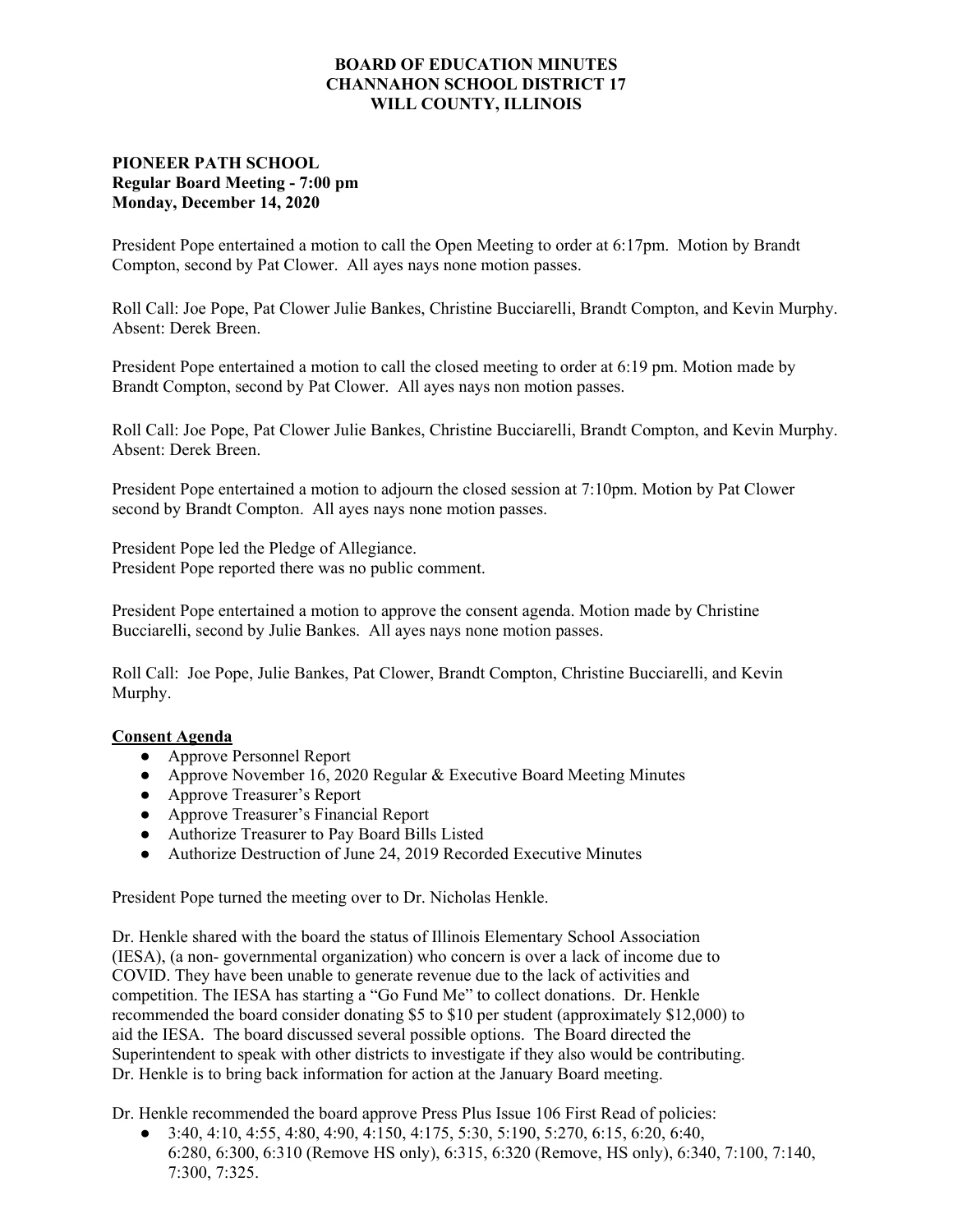## **BOARD OF EDUCATION MINUTES CHANNAHON SCHOOL DISTRICT 17 WILL COUNTY, ILLINOIS**

## **PIONEER PATH SCHOOL Regular Board Meeting - 7:00 pm Monday, December 14, 2020**

President Pope entertained a motion to call the Open Meeting to order at 6:17pm. Motion by Brandt Compton, second by Pat Clower. All ayes nays none motion passes.

Roll Call: Joe Pope, Pat Clower Julie Bankes, Christine Bucciarelli, Brandt Compton, and Kevin Murphy. Absent: Derek Breen.

President Pope entertained a motion to call the closed meeting to order at 6:19 pm. Motion made by Brandt Compton, second by Pat Clower. All ayes nays non motion passes.

Roll Call: Joe Pope, Pat Clower Julie Bankes, Christine Bucciarelli, Brandt Compton, and Kevin Murphy. Absent: Derek Breen.

President Pope entertained a motion to adjourn the closed session at 7:10pm. Motion by Pat Clower second by Brandt Compton. All ayes nays none motion passes.

President Pope led the Pledge of Allegiance. President Pope reported there was no public comment.

President Pope entertained a motion to approve the consent agenda. Motion made by Christine Bucciarelli, second by Julie Bankes. All ayes nays none motion passes.

Roll Call: Joe Pope, Julie Bankes, Pat Clower, Brandt Compton, Christine Bucciarelli, and Kevin Murphy.

## **Consent Agenda**

- **●** Approve Personnel Report
- **●** Approve November 16, 2020 Regular & Executive Board Meeting Minutes
- **●** Approve Treasurer's Report
- **●** Approve Treasurer's Financial Report
- **●** Authorize Treasurer to Pay Board Bills Listed
- **●** Authorize Destruction of June 24, 2019 Recorded Executive Minutes

President Pope turned the meeting over to Dr. Nicholas Henkle.

Dr. Henkle shared with the board the status of Illinois Elementary School Association (IESA), (a non- governmental organization) who concern is over a lack of income due to COVID. They have been unable to generate revenue due to the lack of activities and competition. The IESA has starting a "Go Fund Me" to collect donations. Dr. Henkle recommended the board consider donating \$5 to \$10 per student (approximately \$12,000) to aid the IESA. The board discussed several possible options. The Board directed the Superintendent to speak with other districts to investigate if they also would be contributing. Dr. Henkle is to bring back information for action at the January Board meeting.

Dr. Henkle recommended the board approve Press Plus Issue 106 First Read of policies:

 $\bullet$  3:40, 4:10, 4:55, 4:80, 4:90, 4:150, 4:175, 5:30, 5:190, 5:270, 6:15, 6:20, 6:40, 6:280, 6:300, 6:310 (Remove HS only), 6:315, 6:320 (Remove, HS only), 6:340, 7:100, 7:140, 7:300, 7:325.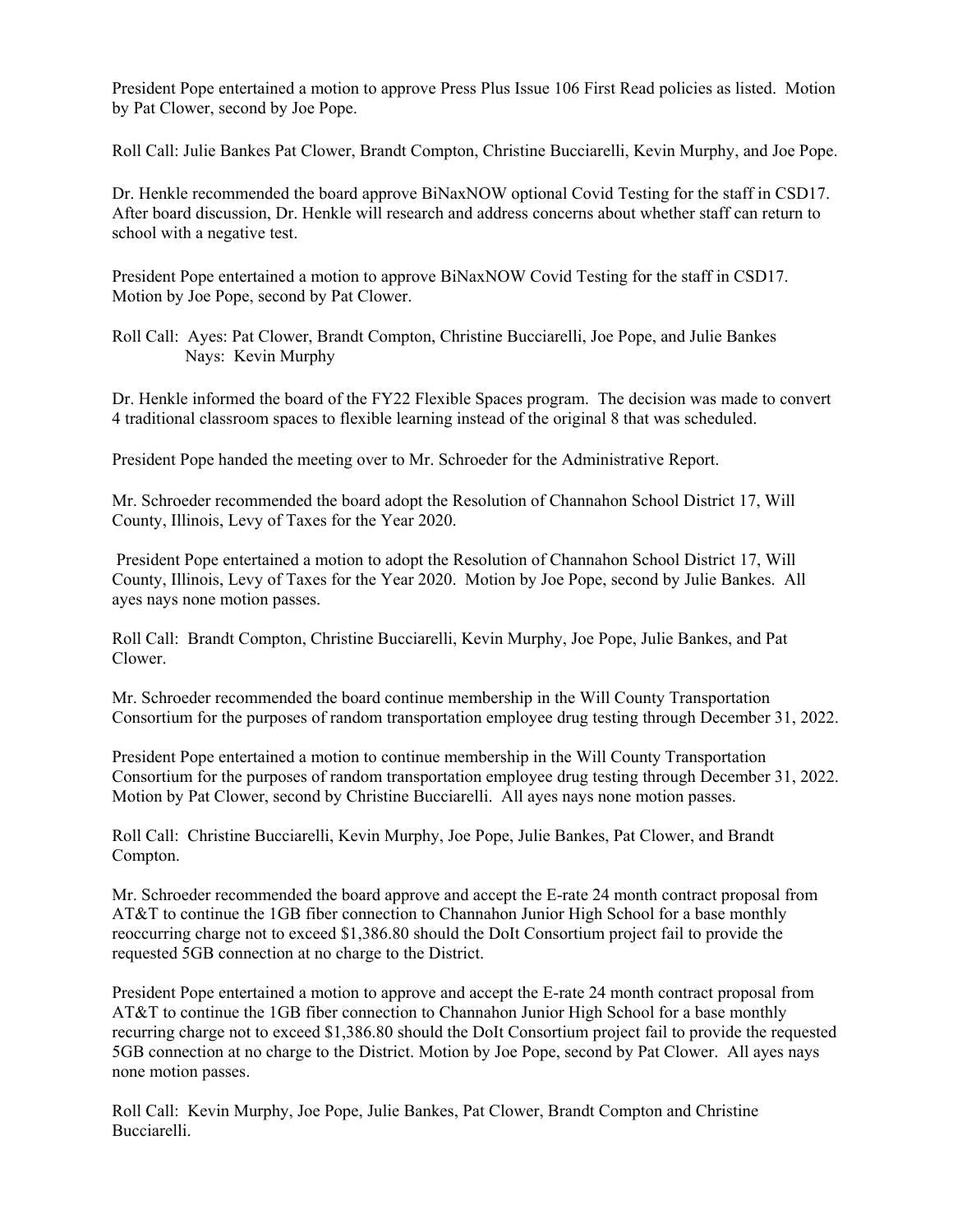President Pope entertained a motion to approve Press Plus Issue 106 First Read policies as listed. Motion by Pat Clower, second by Joe Pope.

Roll Call: Julie Bankes Pat Clower, Brandt Compton, Christine Bucciarelli, Kevin Murphy, and Joe Pope.

Dr. Henkle recommended the board approve BiNaxNOW optional Covid Testing for the staff in CSD17. After board discussion, Dr. Henkle will research and address concerns about whether staff can return to school with a negative test.

President Pope entertained a motion to approve BiNaxNOW Covid Testing for the staff in CSD17. Motion by Joe Pope, second by Pat Clower.

Roll Call: Ayes: Pat Clower, Brandt Compton, Christine Bucciarelli, Joe Pope, and Julie Bankes Nays: Kevin Murphy

Dr. Henkle informed the board of the FY22 Flexible Spaces program. The decision was made to convert 4 traditional classroom spaces to flexible learning instead of the original 8 that was scheduled.

President Pope handed the meeting over to Mr. Schroeder for the Administrative Report.

Mr. Schroeder recommended the board adopt the Resolution of Channahon School District 17, Will County, Illinois, Levy of Taxes for the Year 2020.

 President Pope entertained a motion to adopt the Resolution of Channahon School District 17, Will County, Illinois, Levy of Taxes for the Year 2020. Motion by Joe Pope, second by Julie Bankes. All ayes nays none motion passes.

Roll Call: Brandt Compton, Christine Bucciarelli, Kevin Murphy, Joe Pope, Julie Bankes, and Pat Clower.

Mr. Schroeder recommended the board continue membership in the Will County Transportation Consortium for the purposes of random transportation employee drug testing through December 31, 2022.

President Pope entertained a motion to continue membership in the Will County Transportation Consortium for the purposes of random transportation employee drug testing through December 31, 2022. Motion by Pat Clower, second by Christine Bucciarelli. All ayes nays none motion passes.

Roll Call: Christine Bucciarelli, Kevin Murphy, Joe Pope, Julie Bankes, Pat Clower, and Brandt Compton.

Mr. Schroeder recommended the board approve and accept the E-rate 24 month contract proposal from AT&T to continue the 1GB fiber connection to Channahon Junior High School for a base monthly reoccurring charge not to exceed \$1,386.80 should the DoIt Consortium project fail to provide the requested 5GB connection at no charge to the District.

President Pope entertained a motion to approve and accept the E-rate 24 month contract proposal from AT&T to continue the 1GB fiber connection to Channahon Junior High School for a base monthly recurring charge not to exceed \$1,386.80 should the DoIt Consortium project fail to provide the requested 5GB connection at no charge to the District. Motion by Joe Pope, second by Pat Clower. All ayes nays none motion passes.

Roll Call: Kevin Murphy, Joe Pope, Julie Bankes, Pat Clower, Brandt Compton and Christine Bucciarelli.